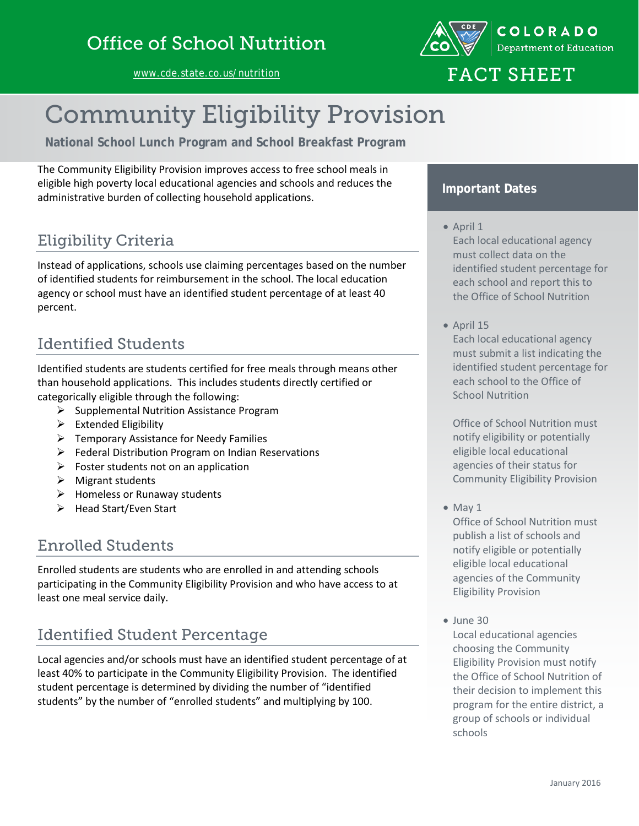[www.cde.state.co.us/nutrition](http://www.cde.state.co.us/nutrition)



# FACT SHEET

# Community Eligibility Provision

**National School Lunch Program and School Breakfast Program**

The Community Eligibility Provision improves access to free school meals in eligible high poverty local educational agencies and schools and reduces the administrative burden of collecting household applications.

# Eligibility Criteria

Instead of applications, schools use claiming percentages based on the number of identified students for reimbursement in the school. The local education agency or school must have an identified student percentage of at least 40 percent.

# Identified Students

Identified students are students certified for free meals through means other than household applications. This includes students directly certified or categorically eligible through the following:

- $\triangleright$  Supplemental Nutrition Assistance Program
- $\triangleright$  Extended Eligibility
- $\triangleright$  Temporary Assistance for Needy Families
- $\triangleright$  Federal Distribution Program on Indian Reservations
- $\triangleright$  Foster students not on an application
- $\triangleright$  Migrant students
- $\triangleright$  Homeless or Runaway students
- $\triangleright$  Head Start/Even Start

### Enrolled Students

Enrolled students are students who are enrolled in and attending schools participating in the Community Eligibility Provision and who have access to at least one meal service daily.

### Identified Student Percentage

Local agencies and/or schools must have an identified student percentage of at least 40% to participate in the Community Eligibility Provision. The identified student percentage is determined by dividing the number of "identified students" by the number of "enrolled students" and multiplying by 100.

#### **Important Dates**

• April 1

Each local educational agency must collect data on the identified student percentage for each school and report this to the Office of School Nutrition

• April 15

Each local educational agency must submit a list indicating the identified student percentage for each school to the Office of School Nutrition

Office of School Nutrition must notify eligibility or potentially eligible local educational agencies of their status for Community Eligibility Provision

• May 1

Office of School Nutrition must publish a list of schools and notify eligible or potentially eligible local educational agencies of the Community Eligibility Provision

• June 30

Local educational agencies choosing the Community Eligibility Provision must notify the Office of School Nutrition of their decision to implement this program for the entire district, a group of schools or individual schools